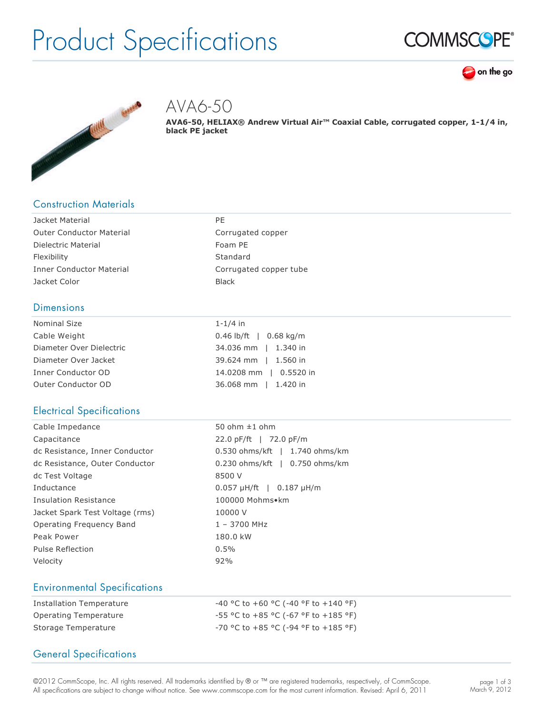# Product Specifications







AVA6-50

**AVA650, HELIAX® Andrew Virtual Air™ Coaxial Cable, corrugated copper, 11/4 in, black PE jacket**

# Construction Materials

| Jacket Material                 | PE                     |
|---------------------------------|------------------------|
| <b>Outer Conductor Material</b> | Corrugated copper      |
| Dielectric Material             | Foam PE                |
| Flexibility                     | Standard               |
| <b>Inner Conductor Material</b> | Corrugated copper tube |
| Jacket Color                    | <b>Black</b>           |
|                                 |                        |

#### **Dimensions**

| Nominal Size             | $1 - 1/4$ in             |
|--------------------------|--------------------------|
| Cable Weight             | $0.46$ lb/ft   0.68 kg/m |
| Diameter Over Dielectric | 34.036 mm   1.340 in     |
| Diameter Over Jacket     | 39.624 mm   1.560 in     |
| Inner Conductor OD       | 14.0208 mm   0.5520 in   |
| Outer Conductor OD       | 36.068 mm   1.420 in     |

# Electrical Specifications

| 50 ohm $\pm 1$ ohm                     |
|----------------------------------------|
| 22.0 pF/ft   72.0 pF/m                 |
| 0.530 ohms/kft   1.740 ohms/km         |
| 0.230 ohms/kft   0.750 ohms/km         |
| 8500 V                                 |
| $0.057 \mu H / ft$   $0.187 \mu H / m$ |
| 100000 Mohms•km                        |
| 10000 V                                |
| $1 - 3700$ MHz                         |
| 180.0 kW                               |
| 0.5%                                   |
| 92%                                    |
|                                        |

# Environmental Specifications

| Installation Temperature | $-40$ °C to $+60$ °C (-40 °F to $+140$ °F) |
|--------------------------|--------------------------------------------|
| Operating Temperature    | $-55$ °C to +85 °C (-67 °F to +185 °F)     |
| Storage Temperature      | $-70$ °C to $+85$ °C (-94 °F to $+185$ °F) |

# General Specifications

©2012 CommScope, Inc. All rights reserved. All trademarks identified by ® or ™ are registered trademarks, respectively, of CommScope. All specifications are subject to change without notice. See www.commscope.com for the most current information. Revised: April 6, 2011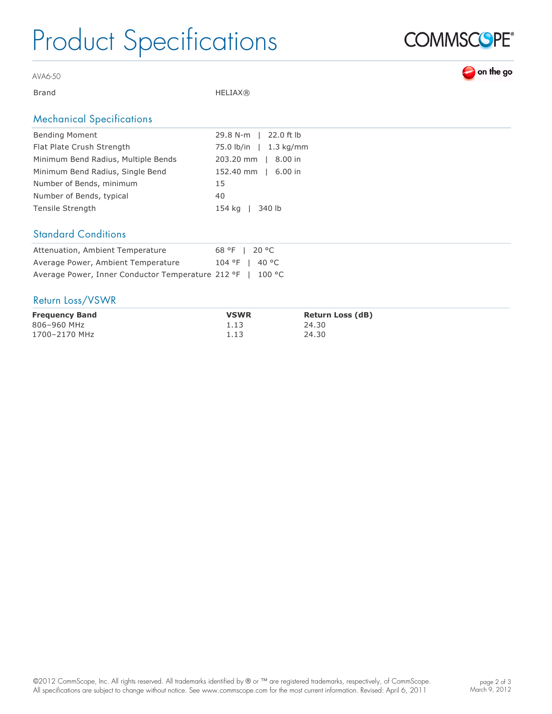# Product Specifications



on the go

AVA6-50

Brand HELIAX®

### Mechanical Specifications

| <b>Bending Moment</b>               | 29.8 N-m   22.0 ft lb  |
|-------------------------------------|------------------------|
| Flat Plate Crush Strength           | 75.0 lb/in   1.3 kg/mm |
| Minimum Bend Radius, Multiple Bends | 203.20 mm   8.00 in    |
| Minimum Bend Radius, Single Bend    | 152.40 mm   6.00 in    |
| Number of Bends, minimum            | 15                     |
| Number of Bends, typical            | 40                     |
| Tensile Strength                    | 154 kg   340 lb        |
|                                     |                        |

#### Standard Conditions

| Attenuation, Ambient Temperature                           | 68 °F   20 °C    |
|------------------------------------------------------------|------------------|
| Average Power, Ambient Temperature                         | $104 °F$   40 °C |
| Average Power, Inner Conductor Temperature 212 °F   100 °C |                  |

#### Return Loss/VSWR

| <b>Frequency Band</b> | <b>VSWR</b> | <b>Return Loss (dB)</b> |
|-----------------------|-------------|-------------------------|
| 806-960 MHz           | 1.13        | 24.30                   |
| 1700-2170 MHz         | 1.13        | 24.30                   |